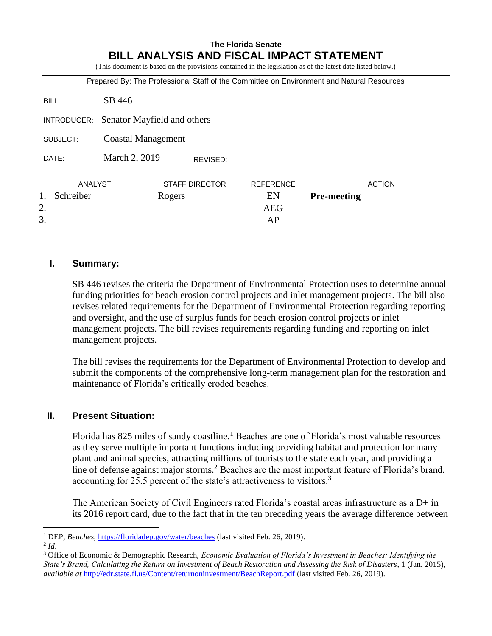# **The Florida Senate BILL ANALYSIS AND FISCAL IMPACT STATEMENT**

(This document is based on the provisions contained in the legislation as of the latest date listed below.)

| Prepared By: The Professional Staff of the Committee on Environment and Natural Resources |                             |                       |          |                  |                    |  |  |  |
|-------------------------------------------------------------------------------------------|-----------------------------|-----------------------|----------|------------------|--------------------|--|--|--|
| BILL:                                                                                     | SB 446                      |                       |          |                  |                    |  |  |  |
| INTRODUCER:                                                                               | Senator Mayfield and others |                       |          |                  |                    |  |  |  |
| SUBJECT:                                                                                  | <b>Coastal Management</b>   |                       |          |                  |                    |  |  |  |
| DATE:                                                                                     | March 2, 2019               |                       | REVISED: |                  |                    |  |  |  |
| ANALYST                                                                                   |                             | <b>STAFF DIRECTOR</b> |          | <b>REFERENCE</b> | <b>ACTION</b>      |  |  |  |
| 1.<br>Schreiber                                                                           |                             | Rogers                |          | EN               | <b>Pre-meeting</b> |  |  |  |
| 2.                                                                                        |                             |                       |          | <b>AEG</b>       |                    |  |  |  |
| 3.                                                                                        |                             |                       |          | AP               |                    |  |  |  |
|                                                                                           |                             |                       |          |                  |                    |  |  |  |

### **I. Summary:**

SB 446 revises the criteria the Department of Environmental Protection uses to determine annual funding priorities for beach erosion control projects and inlet management projects. The bill also revises related requirements for the Department of Environmental Protection regarding reporting and oversight, and the use of surplus funds for beach erosion control projects or inlet management projects. The bill revises requirements regarding funding and reporting on inlet management projects.

The bill revises the requirements for the Department of Environmental Protection to develop and submit the components of the comprehensive long-term management plan for the restoration and maintenance of Florida's critically eroded beaches.

## **II. Present Situation:**

Florida has 825 miles of sandy coastline.<sup>1</sup> Beaches are one of Florida's most valuable resources as they serve multiple important functions including providing habitat and protection for many plant and animal species, attracting millions of tourists to the state each year, and providing a line of defense against major storms.<sup>2</sup> Beaches are the most important feature of Florida's brand, accounting for 25.5 percent of the state's attractiveness to visitors.<sup>3</sup>

The American Society of Civil Engineers rated Florida's coastal areas infrastructure as a D+ in its 2016 report card, due to the fact that in the ten preceding years the average difference between

<sup>&</sup>lt;sup>1</sup> DEP, *Beaches*, https://floridadep.gov/water/beaches (last visited Feb. 26, 2019).

<sup>2</sup> *Id*.

<sup>3</sup> Office of Economic & Demographic Research, *Economic Evaluation of Florida's Investment in Beaches: Identifying the State's Brand, Calculating the Return on Investment of Beach Restoration and Assessing the Risk of Disasters*, 1 (Jan. 2015), *available at* <http://edr.state.fl.us/Content/returnoninvestment/BeachReport.pdf> (last visited Feb. 26, 2019).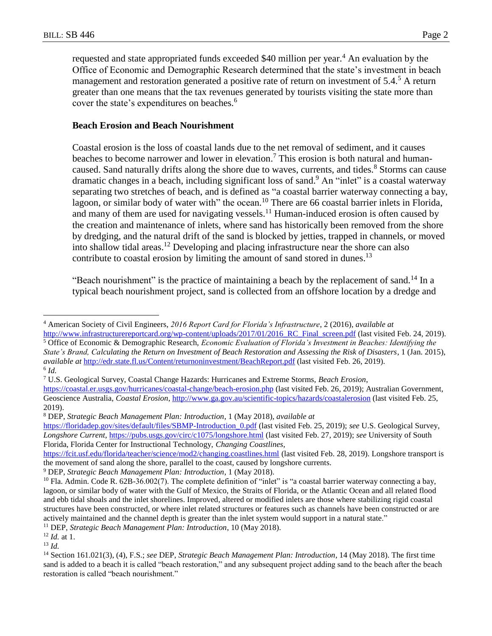requested and state appropriated funds exceeded \$40 million per year.<sup>4</sup> An evaluation by the Office of Economic and Demographic Research determined that the state's investment in beach management and restoration generated a positive rate of return on investment of 5.4.<sup>5</sup> A return greater than one means that the tax revenues generated by tourists visiting the state more than cover the state's expenditures on beaches.<sup>6</sup>

### **Beach Erosion and Beach Nourishment**

Coastal erosion is the loss of coastal lands due to the net removal of sediment, and it causes beaches to become narrower and lower in elevation.<sup>7</sup> This erosion is both natural and humancaused. Sand naturally drifts along the shore due to waves, currents, and tides.<sup>8</sup> Storms can cause dramatic changes in a beach, including significant loss of sand.<sup>9</sup> An "inlet" is a coastal waterway separating two stretches of beach, and is defined as "a coastal barrier waterway connecting a bay, lagoon, or similar body of water with" the ocean.<sup>10</sup> There are 66 coastal barrier inlets in Florida, and many of them are used for navigating vessels.<sup>11</sup> Human-induced erosion is often caused by the creation and maintenance of inlets, where sand has historically been removed from the shore by dredging, and the natural drift of the sand is blocked by jetties, trapped in channels, or moved into shallow tidal areas. <sup>12</sup> Developing and placing infrastructure near the shore can also contribute to coastal erosion by limiting the amount of sand stored in dunes.<sup>13</sup>

"Beach nourishment" is the practice of maintaining a beach by the replacement of sand.<sup>14</sup> In a typical beach nourishment project, sand is collected from an offshore location by a dredge and

<sup>5</sup> Office of Economic & Demographic Research, *Economic Evaluation of Florida's Investment in Beaches: Identifying the State's Brand, Calculating the Return on Investment of Beach Restoration and Assessing the Risk of Disasters*, 1 (Jan. 2015), *available at* <http://edr.state.fl.us/Content/returnoninvestment/BeachReport.pdf> (last visited Feb. 26, 2019). 6 *Id.*

 $\overline{a}$ <sup>4</sup> American Society of Civil Engineers, *2016 Report Card for Florida's Infrastructure*, 2 (2016), *available at* http://www.infrastructurereportcard.org/wp-content/uploads/2017/01/2016 RC Final screen.pdf (last visited Feb. 24, 2019).

<sup>7</sup> U.S. Geological Survey, Coastal Change Hazards: Hurricanes and Extreme Storms, *Beach Erosion*,

<https://coastal.er.usgs.gov/hurricanes/coastal-change/beach-erosion.php> (last visited Feb. 26, 2019); Australian Government, Geoscience Australia, *Coastal Erosion*[, http://www.ga.gov.au/scientific-topics/hazards/coastalerosion](http://www.ga.gov.au/scientific-topics/hazards/coastalerosion) (last visited Feb. 25, 2019).

<sup>8</sup> DEP, *Strategic Beach Management Plan: Introduction*, 1 (May 2018), *available at*

https://floridadep.gov/sites/default/files/SBMP-Introduction\_0.pdf (last visited Feb. 25, 2019); *see* U.S. Geological Survey, *Longshore Current*,<https://pubs.usgs.gov/circ/c1075/longshore.html> (last visited Feb. 27, 2019); *see* University of South Florida, Florida Center for Instructional Technology, *Changing Coastlines*,

<https://fcit.usf.edu/florida/teacher/science/mod2/changing.coastlines.html> (last visited Feb. 28, 2019). Longshore transport is the movement of sand along the shore, parallel to the coast, caused by longshore currents.

<sup>9</sup> DEP, *Strategic Beach Management Plan: Introduction*, 1 (May 2018).

 $10$  Fla. Admin. Code R. 62B-36.002(7). The complete definition of "inlet" is "a coastal barrier waterway connecting a bay, lagoon, or similar body of water with the Gulf of Mexico, the Straits of Florida, or the Atlantic Ocean and all related flood and ebb tidal shoals and the inlet shorelines. Improved, altered or modified inlets are those where stabilizing rigid coastal structures have been constructed, or where inlet related structures or features such as channels have been constructed or are actively maintained and the channel depth is greater than the inlet system would support in a natural state."

<sup>11</sup> DEP, *Strategic Beach Management Plan: Introduction*, 10 (May 2018).

<sup>12</sup> *Id.* at 1.

<sup>13</sup> *Id.*

<sup>14</sup> Section 161.021(3), (4), F.S.; *see* DEP, *Strategic Beach Management Plan: Introduction*, 14 (May 2018). The first time sand is added to a beach it is called "beach restoration," and any subsequent project adding sand to the beach after the beach restoration is called "beach nourishment."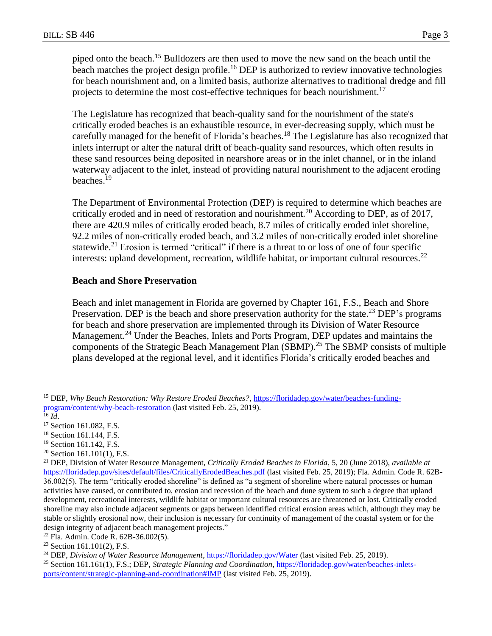piped onto the beach.<sup>15</sup> Bulldozers are then used to move the new sand on the beach until the beach matches the project design profile.<sup>16</sup> DEP is authorized to review innovative technologies for beach nourishment and, on a limited basis, authorize alternatives to traditional dredge and fill projects to determine the most cost-effective techniques for beach nourishment.<sup>17</sup>

The Legislature has recognized that beach-quality sand for the nourishment of the state's critically eroded beaches is an exhaustible resource, in ever-decreasing supply, which must be carefully managed for the benefit of Florida's beaches.<sup>18</sup> The Legislature has also recognized that inlets interrupt or alter the natural drift of beach-quality sand resources, which often results in these sand resources being deposited in nearshore areas or in the inlet channel, or in the inland waterway adjacent to the inlet, instead of providing natural nourishment to the adjacent eroding beaches.<sup>19</sup>

The Department of Environmental Protection (DEP) is required to determine which beaches are critically eroded and in need of restoration and nourishment.<sup>20</sup> According to DEP, as of 2017, there are 420.9 miles of critically eroded beach, 8.7 miles of critically eroded inlet shoreline, 92.2 miles of non-critically eroded beach, and 3.2 miles of non-critically eroded inlet shoreline statewide.<sup>21</sup> Erosion is termed "critical" if there is a threat to or loss of one of four specific interests: upland development, recreation, wildlife habitat, or important cultural resources.<sup>22</sup>

### **Beach and Shore Preservation**

Beach and inlet management in Florida are governed by Chapter 161, F.S., Beach and Shore Preservation. DEP is the beach and shore preservation authority for the state.<sup>23</sup> DEP's programs for beach and shore preservation are implemented through its Division of Water Resource Management.<sup>24</sup> Under the Beaches, Inlets and Ports Program, DEP updates and maintains the components of the Strategic Beach Management Plan (SBMP).<sup>25</sup> The SBMP consists of multiple plans developed at the regional level, and it identifies Florida's critically eroded beaches and

 $\overline{a}$ 

 $20$  Section 161.101(1), F.S.

<sup>15</sup> DEP, *Why Beach Restoration: Why Restore Eroded Beaches?*, https://floridadep.gov/water/beaches-fundingprogram/content/why-beach-restoration (last visited Feb. 25, 2019).

 $^{16}$  *Id.* 

<sup>&</sup>lt;sup>17</sup> Section 161.082, F.S.

<sup>18</sup> Section 161.144, F.S.

<sup>&</sup>lt;sup>19</sup> Section 161.142, F.S.

<sup>21</sup> DEP, Division of Water Resource Management, *Critically Eroded Beaches in Florida*, 5, 20 (June 2018), *available at* https://floridadep.gov/sites/default/files/CriticallyErodedBeaches.pdf (last visited Feb. 25, 2019); Fla. Admin. Code R. 62B-36.002(5). The term "critically eroded shoreline" is defined as "a segment of shoreline where natural processes or human activities have caused, or contributed to, erosion and recession of the beach and dune system to such a degree that upland development, recreational interests, wildlife habitat or important cultural resources are threatened or lost. Critically eroded shoreline may also include adjacent segments or gaps between identified critical erosion areas which, although they may be stable or slightly erosional now, their inclusion is necessary for continuity of management of the coastal system or for the design integrity of adjacent beach management projects."

<sup>22</sup> Fla. Admin. Code R. 62B-36.002(5).

<sup>23</sup> Section 161.101(2), F.S.

<sup>24</sup> DEP, *Division of Water Resource Management*[, https://floridadep.gov/Water](https://floridadep.gov/Water) (last visited Feb. 25, 2019).

<sup>25</sup> Section 161.161(1), F.S.; DEP, *Strategic Planning and Coordination*, [https://floridadep.gov/water/beaches-inlets](https://floridadep.gov/water/beaches-inlets-ports/content/strategic-planning-and-coordination#IMP)[ports/content/strategic-planning-and-coordination#IMP](https://floridadep.gov/water/beaches-inlets-ports/content/strategic-planning-and-coordination#IMP) (last visited Feb. 25, 2019).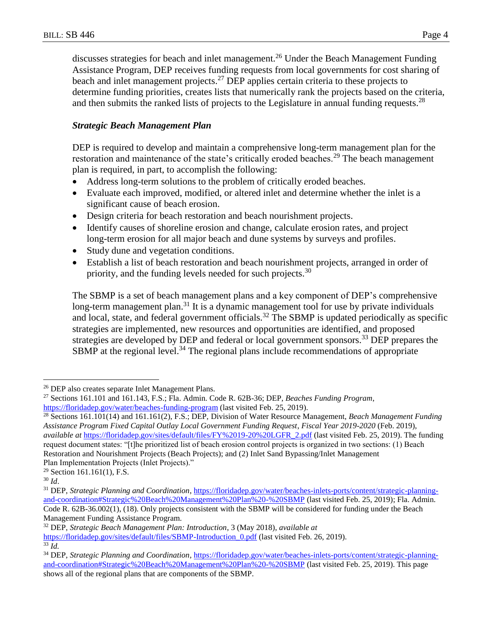discusses strategies for beach and inlet management.<sup>26</sup> Under the Beach Management Funding Assistance Program, DEP receives funding requests from local governments for cost sharing of beach and inlet management projects.<sup>27</sup> DEP applies certain criteria to these projects to determine funding priorities, creates lists that numerically rank the projects based on the criteria, and then submits the ranked lists of projects to the Legislature in annual funding requests.<sup>28</sup>

### *Strategic Beach Management Plan*

DEP is required to develop and maintain a comprehensive long-term management plan for the restoration and maintenance of the state's critically eroded beaches.<sup>29</sup> The beach management plan is required, in part, to accomplish the following:

- Address long-term solutions to the problem of critically eroded beaches.
- Evaluate each improved, modified, or altered inlet and determine whether the inlet is a significant cause of beach erosion.
- Design criteria for beach restoration and beach nourishment projects.
- Identify causes of shoreline erosion and change, calculate erosion rates, and project long-term erosion for all major beach and dune systems by surveys and profiles.
- Study dune and vegetation conditions.
- Establish a list of beach restoration and beach nourishment projects, arranged in order of priority, and the funding levels needed for such projects.<sup>30</sup>

The SBMP is a set of beach management plans and a key component of DEP's comprehensive long-term management plan.<sup>31</sup> It is a dynamic management tool for use by private individuals and local, state, and federal government officials.<sup>32</sup> The SBMP is updated periodically as specific strategies are implemented, new resources and opportunities are identified, and proposed strategies are developed by DEP and federal or local government sponsors.<sup>33</sup> DEP prepares the  $SBMP$  at the regional level.<sup>34</sup> The regional plans include recommendations of appropriate

 $\overline{a}$ 

https://floridadep.gov/sites/default/files/SBMP-Introduction\_0.pdf (last visited Feb. 26, 2019). <sup>33</sup> *Id.*

<sup>26</sup> DEP also creates separate Inlet Management Plans.

<sup>27</sup> Sections 161.101 and 161.143, F.S.; Fla. Admin. Code R. 62B-36; DEP, *Beaches Funding Program*, <https://floridadep.gov/water/beaches-funding-program> (last visited Feb. 25, 2019).

<sup>28</sup> Sections 161.101(14) and 161.161(2), F.S.; DEP, Division of Water Resource Management, *Beach Management Funding Assistance Program Fixed Capital Outlay Local Government Funding Request*, *Fiscal Year 2019-2020* (Feb. 2019), *available at* [https://floridadep.gov/sites/default/files/FY%2019-20%20LGFR\\_2.pdf](https://floridadep.gov/sites/default/files/FY%2019-20%20LGFR_2.pdf) (last visited Feb. 25, 2019). The funding request document states: "[t]he prioritized list of beach erosion control projects is organized in two sections: (1) Beach Restoration and Nourishment Projects (Beach Projects); and (2) Inlet Sand Bypassing/Inlet Management Plan Implementation Projects (Inlet Projects)."

 $29$  Section 161.161(1), F.S.

<sup>30</sup> *Id*.

<sup>&</sup>lt;sup>31</sup> DEP, *Strategic Planning and Coordination*, [https://floridadep.gov/water/beaches-inlets-ports/content/strategic-planning](https://floridadep.gov/water/beaches-inlets-ports/content/strategic-planning-and-coordination#Strategic%20Beach%20Management%20Plan%20-%20SBMP)[and-coordination#Strategic%20Beach%20Management%20Plan%20-%20SBMP](https://floridadep.gov/water/beaches-inlets-ports/content/strategic-planning-and-coordination#Strategic%20Beach%20Management%20Plan%20-%20SBMP) (last visited Feb. 25, 2019); Fla. Admin. Code R. 62B-36.002(1), (18). Only projects consistent with the SBMP will be considered for funding under the Beach Management Funding Assistance Program.

<sup>32</sup> DEP, *Strategic Beach Management Plan: Introduction*, 3 (May 2018), *available at*

<sup>34</sup> DEP, *Strategic Planning and Coordination*, [https://floridadep.gov/water/beaches-inlets-ports/content/strategic-planning](https://floridadep.gov/water/beaches-inlets-ports/content/strategic-planning-and-coordination#Strategic%20Beach%20Management%20Plan%20-%20SBMP)[and-coordination#Strategic%20Beach%20Management%20Plan%20-%20SBMP](https://floridadep.gov/water/beaches-inlets-ports/content/strategic-planning-and-coordination#Strategic%20Beach%20Management%20Plan%20-%20SBMP) (last visited Feb. 25, 2019). This page shows all of the regional plans that are components of the SBMP.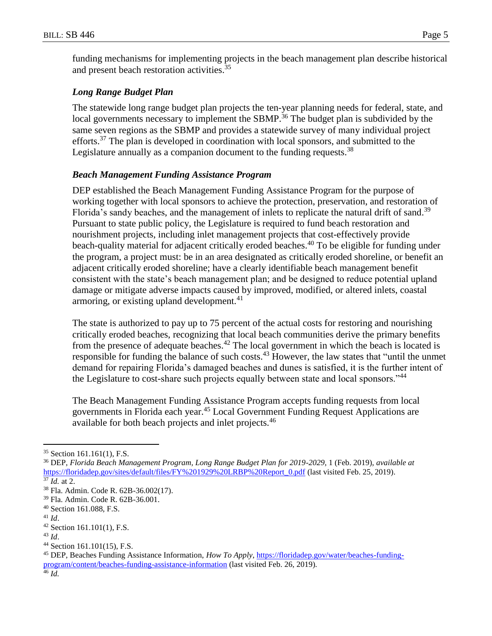funding mechanisms for implementing projects in the beach management plan describe historical and present beach restoration activities.<sup>35</sup>

## *Long Range Budget Plan*

The statewide long range budget plan projects the ten-year planning needs for federal, state, and local governments necessary to implement the SBMP.<sup>36</sup> The budget plan is subdivided by the same seven regions as the SBMP and provides a statewide survey of many individual project efforts.<sup>37</sup> The plan is developed in coordination with local sponsors, and submitted to the Legislature annually as a companion document to the funding requests.<sup>38</sup>

## *Beach Management Funding Assistance Program*

DEP established the Beach Management Funding Assistance Program for the purpose of working together with local sponsors to achieve the protection, preservation, and restoration of Florida's sandy beaches, and the management of inlets to replicate the natural drift of sand.<sup>39</sup> Pursuant to state public policy, the Legislature is required to fund beach restoration and nourishment projects, including inlet management projects that cost-effectively provide beach-quality material for adjacent critically eroded beaches.<sup>40</sup> To be eligible for funding under the program, a project must: be in an area designated as critically eroded shoreline, or benefit an adjacent critically eroded shoreline; have a clearly identifiable beach management benefit consistent with the state's beach management plan; and be designed to reduce potential upland damage or mitigate adverse impacts caused by improved, modified, or altered inlets, coastal armoring, or existing upland development.<sup>41</sup>

The state is authorized to pay up to 75 percent of the actual costs for restoring and nourishing critically eroded beaches, recognizing that local beach communities derive the primary benefits from the presence of adequate beaches.<sup>42</sup> The local government in which the beach is located is responsible for funding the balance of such costs.<sup>43</sup> However, the law states that "until the unmet demand for repairing Florida's damaged beaches and dunes is satisfied, it is the further intent of the Legislature to cost-share such projects equally between state and local sponsors."<sup>44</sup>

The Beach Management Funding Assistance Program accepts funding requests from local governments in Florida each year.<sup>45</sup> Local Government Funding Request Applications are available for both beach projects and inlet projects.<sup>46</sup>

<sup>41</sup> *Id*.

<sup>35</sup> Section 161.161(1), F.S.

<sup>36</sup> DEP, *Florida Beach Management Program, Long Range Budget Plan for 2019-2029*, 1 (Feb. 2019), *available at* https://floridadep.gov/sites/default/files/FY%201929%20LRBP%20Report\_0.pdf (last visited Feb. 25, 2019).

 $\frac{37}{37}$  *Id.* at 2.

<sup>38</sup> Fla. Admin. Code R. 62B-36.002(17).

<sup>39</sup> Fla. Admin. Code R. 62B-36.001.

<sup>40</sup> Section 161.088, F.S.

 $42$  Section 161.101(1), F.S.

<sup>43</sup> *Id*.

<sup>44</sup> Section 161.101(15), F.S.

<sup>45</sup> DEP, Beaches Funding Assistance Information, *How To Apply*, [https://floridadep.gov/water/beaches-funding](https://floridadep.gov/water/beaches-funding-program/content/beaches-funding-assistance-information)[program/content/beaches-funding-assistance-information](https://floridadep.gov/water/beaches-funding-program/content/beaches-funding-assistance-information) (last visited Feb. 26, 2019).

<sup>46</sup> *Id.*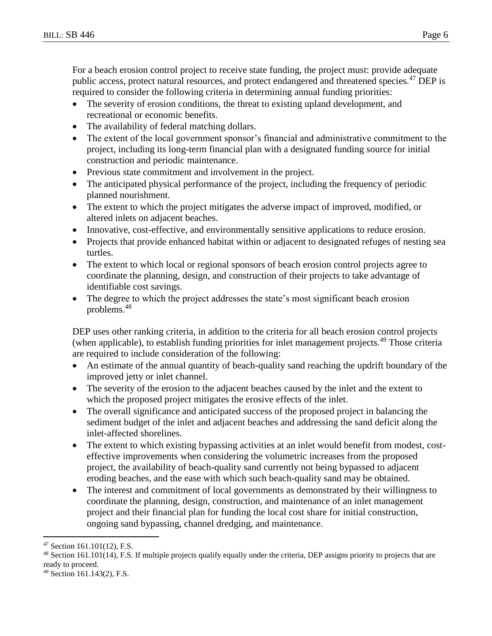For a beach erosion control project to receive state funding, the project must: provide adequate public access, protect natural resources, and protect endangered and threatened species.<sup>47</sup> DEP is required to consider the following criteria in determining annual funding priorities:

- The severity of erosion conditions, the threat to existing upland development, and recreational or economic benefits.
- The availability of federal matching dollars.
- The extent of the local government sponsor's financial and administrative commitment to the project, including its long-term financial plan with a designated funding source for initial construction and periodic maintenance.
- Previous state commitment and involvement in the project.
- The anticipated physical performance of the project, including the frequency of periodic planned nourishment.
- The extent to which the project mitigates the adverse impact of improved, modified, or altered inlets on adjacent beaches.
- Innovative, cost-effective, and environmentally sensitive applications to reduce erosion.
- Projects that provide enhanced habitat within or adjacent to designated refuges of nesting sea turtles.
- The extent to which local or regional sponsors of beach erosion control projects agree to coordinate the planning, design, and construction of their projects to take advantage of identifiable cost savings.
- The degree to which the project addresses the state's most significant beach erosion problems.<sup>48</sup>

DEP uses other ranking criteria, in addition to the criteria for all beach erosion control projects (when applicable), to establish funding priorities for inlet management projects.<sup>49</sup> Those criteria are required to include consideration of the following:

- An estimate of the annual quantity of beach-quality sand reaching the updrift boundary of the improved jetty or inlet channel.
- The severity of the erosion to the adjacent beaches caused by the inlet and the extent to which the proposed project mitigates the erosive effects of the inlet.
- The overall significance and anticipated success of the proposed project in balancing the sediment budget of the inlet and adjacent beaches and addressing the sand deficit along the inlet-affected shorelines.
- The extent to which existing bypassing activities at an inlet would benefit from modest, costeffective improvements when considering the volumetric increases from the proposed project, the availability of beach-quality sand currently not being bypassed to adjacent eroding beaches, and the ease with which such beach-quality sand may be obtained.
- The interest and commitment of local governments as demonstrated by their willingness to coordinate the planning, design, construction, and maintenance of an inlet management project and their financial plan for funding the local cost share for initial construction, ongoing sand bypassing, channel dredging, and maintenance.

<sup>47</sup> Section 161.101(12), F.S.

<sup>&</sup>lt;sup>48</sup> Section 161.101(14), F.S. If multiple projects qualify equally under the criteria, DEP assigns priority to projects that are ready to proceed.

<sup>49</sup> Section 161.143(2), F.S.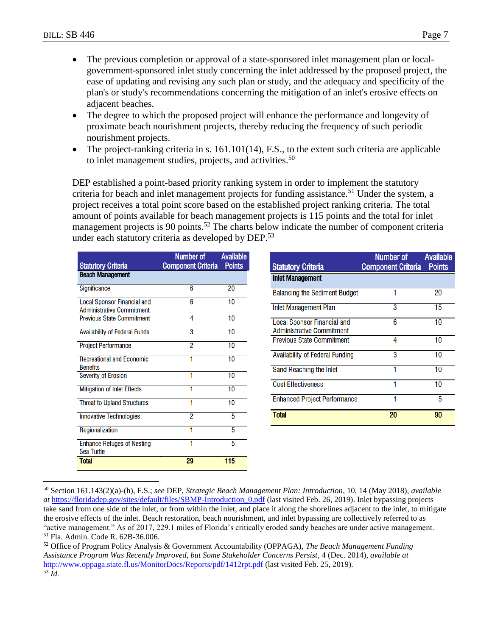- The previous completion or approval of a state-sponsored inlet management plan or localgovernment-sponsored inlet study concerning the inlet addressed by the proposed project, the ease of updating and revising any such plan or study, and the adequacy and specificity of the plan's or study's recommendations concerning the mitigation of an inlet's erosive effects on adjacent beaches.
- The degree to which the proposed project will enhance the performance and longevity of proximate beach nourishment projects, thereby reducing the frequency of such periodic nourishment projects.
- The project-ranking criteria in s. 161.101(14), F.S., to the extent such criteria are applicable to inlet management studies, projects, and activities.<sup>50</sup>

DEP established a point-based priority ranking system in order to implement the statutory criteria for beach and inlet management projects for funding assistance.<sup>51</sup> Under the system, a project receives a total point score based on the established project ranking criteria. The total amount of points available for beach management projects is 115 points and the total for inlet management projects is 90 points.<sup>52</sup> The charts below indicate the number of component criteria under each statutory criteria as developed by DEP.<sup>53</sup>

| <b>Statutory Criteria</b>                                              | Number of<br><b>Component Criteria</b> | <b>Available</b><br><b>Points</b> |
|------------------------------------------------------------------------|----------------------------------------|-----------------------------------|
| <b>Beach Management</b>                                                |                                        |                                   |
| Significance                                                           | 6                                      | 20                                |
| <b>Local Sponsor Financial and</b><br><b>Administrative Commitment</b> | 6                                      | 10                                |
| <b>Previous State Commitment</b>                                       | 4                                      | 10                                |
| <b>Availability of Federal Funds</b>                                   | 3                                      | 10                                |
| <b>Project Performance</b>                                             | 2                                      | 10                                |
| <b>Recreational and Economic</b><br><b>Benefits</b>                    | 1                                      | 10                                |
| <b>Severity of Erosion</b>                                             | 1                                      | 10                                |
| <b>Mitigation of Inlet Effects</b>                                     | 1                                      | 10                                |
| <b>Threat to Upland Structures</b>                                     | 1                                      | 10                                |
| <b>Innovative Technologies</b>                                         | $\overline{2}$                         | 5                                 |
| Regionalization                                                        | 1                                      | 5                                 |
| <b>Enhance Refuges of Nesting</b><br>Sea Turtle                        | 1                                      | 5                                 |
| <b>Total</b>                                                           | 29                                     | 115                               |

| <b>Statutory Criteria</b>                                              | Number of<br><b>Component Criteria</b> | <b>Available</b><br><b>Points</b> |
|------------------------------------------------------------------------|----------------------------------------|-----------------------------------|
| <b>Inlet Management</b>                                                |                                        |                                   |
| <b>Balancing the Sediment Budget</b>                                   |                                        | 20                                |
| Inlet Management Plan                                                  | 3                                      | 15                                |
| <b>Local Sponsor Financial and</b><br><b>Administrative Commitment</b> | 6                                      | 10                                |
| <b>Previous State Commitment</b>                                       | 4                                      | 10                                |
| <b>Availability of Federal Funding</b>                                 | 3                                      | 10                                |
| Sand Reaching the Inlet                                                | 1                                      | 10                                |
| <b>Cost Effectiveness</b>                                              |                                        | 10                                |
| <b>Enhanced Project Performance</b>                                    |                                        | 5                                 |
| <b>Total</b>                                                           | 20                                     | 90                                |

 $\overline{a}$ <sup>50</sup> Section 161.143(2)(a)-(h), F.S.; *see* DEP, *Strategic Beach Management Plan: Introduction*, 10, 14 (May 2018), *available at* https://floridadep.gov/sites/default/files/SBMP-Introduction\_0.pdf (last visited Feb. 26, 2019). Inlet bypassing projects take sand from one side of the inlet, or from within the inlet, and place it along the shorelines adjacent to the inlet, to mitigate the erosive effects of the inlet. Beach restoration, beach nourishment, and inlet bypassing are collectively referred to as "active management." As of 2017, 229.1 miles of Florida's critically eroded sandy beaches are under active management. <sup>51</sup> Fla. Admin. Code R. 62B-36.006.

<sup>52</sup> Office of Program Policy Analysis & Government Accountability (OPPAGA), *The Beach Management Funding Assistance Program Was Recently Improved, but Some Stakeholder Concerns Persist*, 4 (Dec. 2014), *available at* <http://www.oppaga.state.fl.us/MonitorDocs/Reports/pdf/1412rpt.pdf> (last visited Feb. 25, 2019). <sup>53</sup> *Id.*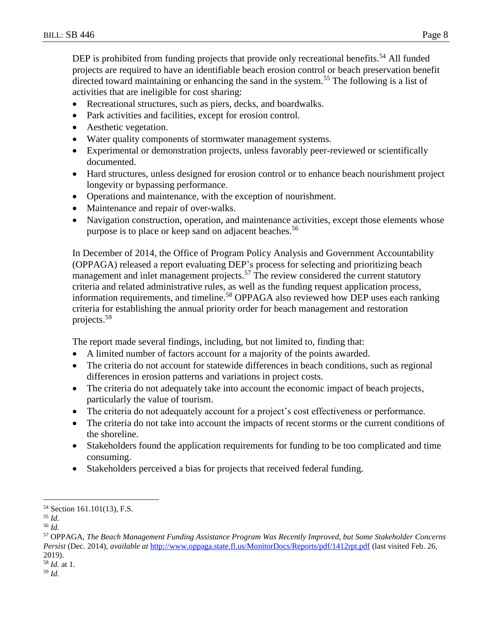DEP is prohibited from funding projects that provide only recreational benefits.<sup>54</sup> All funded projects are required to have an identifiable beach erosion control or beach preservation benefit directed toward maintaining or enhancing the sand in the system.<sup>55</sup> The following is a list of activities that are ineligible for cost sharing:

- Recreational structures, such as piers, decks, and boardwalks.
- Park activities and facilities, except for erosion control.
- Aesthetic vegetation.
- Water quality components of stormwater management systems.
- Experimental or demonstration projects, unless favorably peer-reviewed or scientifically documented.
- Hard structures, unless designed for erosion control or to enhance beach nourishment project longevity or bypassing performance.
- Operations and maintenance, with the exception of nourishment.
- Maintenance and repair of over-walks.
- Navigation construction, operation, and maintenance activities, except those elements whose purpose is to place or keep sand on adjacent beaches.<sup>56</sup>

In December of 2014, the Office of Program Policy Analysis and Government Accountability (OPPAGA) released a report evaluating DEP's process for selecting and prioritizing beach management and inlet management projects.<sup>57</sup> The review considered the current statutory criteria and related administrative rules, as well as the funding request application process, information requirements, and timeline.<sup>58</sup> OPPAGA also reviewed how DEP uses each ranking criteria for establishing the annual priority order for beach management and restoration projects.<sup>59</sup>

The report made several findings, including, but not limited to, finding that:

- A limited number of factors account for a majority of the points awarded.
- The criteria do not account for statewide differences in beach conditions, such as regional differences in erosion patterns and variations in project costs.
- The criteria do not adequately take into account the economic impact of beach projects, particularly the value of tourism.
- The criteria do not adequately account for a project's cost effectiveness or performance.
- The criteria do not take into account the impacts of recent storms or the current conditions of the shoreline.
- Stakeholders found the application requirements for funding to be too complicated and time consuming.
- Stakeholders perceived a bias for projects that received federal funding.

<sup>54</sup> Section 161.101(13), F.S.

<sup>55</sup> *Id.*

<sup>56</sup> *Id.*

<sup>57</sup> OPPAGA, *The Beach Management Funding Assistance Program Was Recently Improved, but Some Stakeholder Concerns Persist* (Dec. 2014), *available at* <http://www.oppaga.state.fl.us/MonitorDocs/Reports/pdf/1412rpt.pdf> (last visited Feb. 26, 2019).

<sup>58</sup> *Id.* at 1.

<sup>59</sup> *Id.*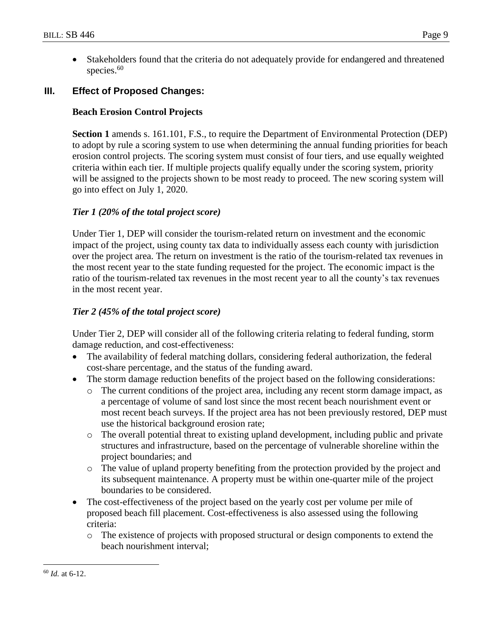Stakeholders found that the criteria do not adequately provide for endangered and threatened species. 60

## **III. Effect of Proposed Changes:**

## **Beach Erosion Control Projects**

**Section 1** amends s. 161.101, F.S., to require the Department of Environmental Protection (DEP) to adopt by rule a scoring system to use when determining the annual funding priorities for beach erosion control projects. The scoring system must consist of four tiers, and use equally weighted criteria within each tier. If multiple projects qualify equally under the scoring system, priority will be assigned to the projects shown to be most ready to proceed. The new scoring system will go into effect on July 1, 2020.

## *Tier 1 (20% of the total project score)*

Under Tier 1, DEP will consider the tourism-related return on investment and the economic impact of the project, using county tax data to individually assess each county with jurisdiction over the project area. The return on investment is the ratio of the tourism-related tax revenues in the most recent year to the state funding requested for the project. The economic impact is the ratio of the tourism-related tax revenues in the most recent year to all the county's tax revenues in the most recent year.

## *Tier 2 (45% of the total project score)*

Under Tier 2, DEP will consider all of the following criteria relating to federal funding, storm damage reduction, and cost-effectiveness:

- The availability of federal matching dollars, considering federal authorization, the federal cost-share percentage, and the status of the funding award.
- The storm damage reduction benefits of the project based on the following considerations:
	- o The current conditions of the project area, including any recent storm damage impact, as a percentage of volume of sand lost since the most recent beach nourishment event or most recent beach surveys. If the project area has not been previously restored, DEP must use the historical background erosion rate;
	- o The overall potential threat to existing upland development, including public and private structures and infrastructure, based on the percentage of vulnerable shoreline within the project boundaries; and
	- o The value of upland property benefiting from the protection provided by the project and its subsequent maintenance. A property must be within one-quarter mile of the project boundaries to be considered.
- The cost-effectiveness of the project based on the yearly cost per volume per mile of proposed beach fill placement. Cost-effectiveness is also assessed using the following criteria:
	- o The existence of projects with proposed structural or design components to extend the beach nourishment interval;

<sup>60</sup> *Id.* at 6-12.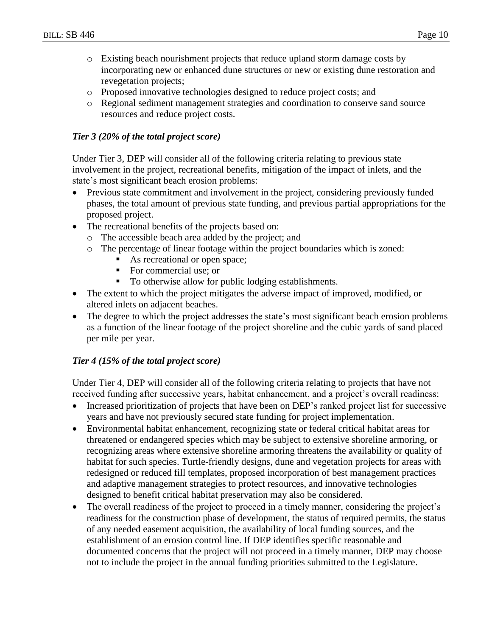- o Existing beach nourishment projects that reduce upland storm damage costs by incorporating new or enhanced dune structures or new or existing dune restoration and revegetation projects;
- o Proposed innovative technologies designed to reduce project costs; and
- o Regional sediment management strategies and coordination to conserve sand source resources and reduce project costs.

## *Tier 3 (20% of the total project score)*

Under Tier 3, DEP will consider all of the following criteria relating to previous state involvement in the project, recreational benefits, mitigation of the impact of inlets, and the state's most significant beach erosion problems:

- Previous state commitment and involvement in the project, considering previously funded phases, the total amount of previous state funding, and previous partial appropriations for the proposed project.
- The recreational benefits of the projects based on:
	- o The accessible beach area added by the project; and
	- o The percentage of linear footage within the project boundaries which is zoned:
		- As recreational or open space;
		- For commercial use; or
		- To otherwise allow for public lodging establishments.
- The extent to which the project mitigates the adverse impact of improved, modified, or altered inlets on adjacent beaches.
- The degree to which the project addresses the state's most significant beach erosion problems as a function of the linear footage of the project shoreline and the cubic yards of sand placed per mile per year.

## *Tier 4 (15% of the total project score)*

Under Tier 4, DEP will consider all of the following criteria relating to projects that have not received funding after successive years, habitat enhancement, and a project's overall readiness:

- Increased prioritization of projects that have been on DEP's ranked project list for successive years and have not previously secured state funding for project implementation.
- Environmental habitat enhancement, recognizing state or federal critical habitat areas for threatened or endangered species which may be subject to extensive shoreline armoring, or recognizing areas where extensive shoreline armoring threatens the availability or quality of habitat for such species. Turtle-friendly designs, dune and vegetation projects for areas with redesigned or reduced fill templates, proposed incorporation of best management practices and adaptive management strategies to protect resources, and innovative technologies designed to benefit critical habitat preservation may also be considered.
- The overall readiness of the project to proceed in a timely manner, considering the project's readiness for the construction phase of development, the status of required permits, the status of any needed easement acquisition, the availability of local funding sources, and the establishment of an erosion control line. If DEP identifies specific reasonable and documented concerns that the project will not proceed in a timely manner, DEP may choose not to include the project in the annual funding priorities submitted to the Legislature.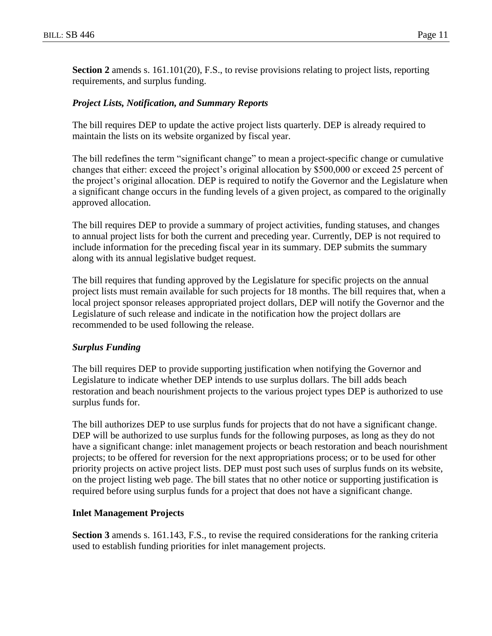**Section 2** amends s. 161.101(20), F.S., to revise provisions relating to project lists, reporting requirements, and surplus funding.

### *Project Lists, Notification, and Summary Reports*

The bill requires DEP to update the active project lists quarterly. DEP is already required to maintain the lists on its website organized by fiscal year.

The bill redefines the term "significant change" to mean a project-specific change or cumulative changes that either: exceed the project's original allocation by \$500,000 or exceed 25 percent of the project's original allocation. DEP is required to notify the Governor and the Legislature when a significant change occurs in the funding levels of a given project, as compared to the originally approved allocation.

The bill requires DEP to provide a summary of project activities, funding statuses, and changes to annual project lists for both the current and preceding year. Currently, DEP is not required to include information for the preceding fiscal year in its summary. DEP submits the summary along with its annual legislative budget request.

The bill requires that funding approved by the Legislature for specific projects on the annual project lists must remain available for such projects for 18 months. The bill requires that, when a local project sponsor releases appropriated project dollars, DEP will notify the Governor and the Legislature of such release and indicate in the notification how the project dollars are recommended to be used following the release.

#### *Surplus Funding*

The bill requires DEP to provide supporting justification when notifying the Governor and Legislature to indicate whether DEP intends to use surplus dollars. The bill adds beach restoration and beach nourishment projects to the various project types DEP is authorized to use surplus funds for.

The bill authorizes DEP to use surplus funds for projects that do not have a significant change. DEP will be authorized to use surplus funds for the following purposes, as long as they do not have a significant change: inlet management projects or beach restoration and beach nourishment projects; to be offered for reversion for the next appropriations process; or to be used for other priority projects on active project lists. DEP must post such uses of surplus funds on its website, on the project listing web page. The bill states that no other notice or supporting justification is required before using surplus funds for a project that does not have a significant change.

#### **Inlet Management Projects**

**Section 3** amends s. 161.143, F.S., to revise the required considerations for the ranking criteria used to establish funding priorities for inlet management projects.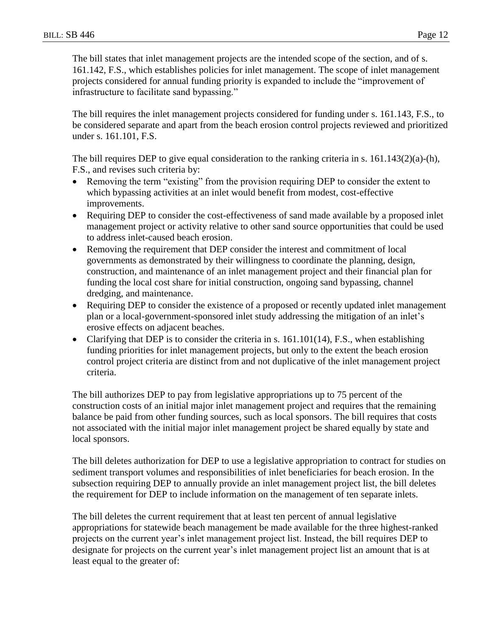The bill states that inlet management projects are the intended scope of the section, and of s. 161.142, F.S., which establishes policies for inlet management. The scope of inlet management projects considered for annual funding priority is expanded to include the "improvement of infrastructure to facilitate sand bypassing."

The bill requires the inlet management projects considered for funding under s. 161.143, F.S., to be considered separate and apart from the beach erosion control projects reviewed and prioritized under s. 161.101, F.S.

The bill requires DEP to give equal consideration to the ranking criteria in s. 161.143(2)(a)-(h), F.S., and revises such criteria by:

- Removing the term "existing" from the provision requiring DEP to consider the extent to which bypassing activities at an inlet would benefit from modest, cost-effective improvements.
- Requiring DEP to consider the cost-effectiveness of sand made available by a proposed inlet management project or activity relative to other sand source opportunities that could be used to address inlet-caused beach erosion.
- Removing the requirement that DEP consider the interest and commitment of local governments as demonstrated by their willingness to coordinate the planning, design, construction, and maintenance of an inlet management project and their financial plan for funding the local cost share for initial construction, ongoing sand bypassing, channel dredging, and maintenance.
- Requiring DEP to consider the existence of a proposed or recently updated inlet management plan or a local-government-sponsored inlet study addressing the mitigation of an inlet's erosive effects on adjacent beaches.
- Clarifying that DEP is to consider the criteria in s.  $161.101(14)$ , F.S., when establishing funding priorities for inlet management projects, but only to the extent the beach erosion control project criteria are distinct from and not duplicative of the inlet management project criteria.

The bill authorizes DEP to pay from legislative appropriations up to 75 percent of the construction costs of an initial major inlet management project and requires that the remaining balance be paid from other funding sources, such as local sponsors. The bill requires that costs not associated with the initial major inlet management project be shared equally by state and local sponsors.

The bill deletes authorization for DEP to use a legislative appropriation to contract for studies on sediment transport volumes and responsibilities of inlet beneficiaries for beach erosion. In the subsection requiring DEP to annually provide an inlet management project list, the bill deletes the requirement for DEP to include information on the management of ten separate inlets.

The bill deletes the current requirement that at least ten percent of annual legislative appropriations for statewide beach management be made available for the three highest-ranked projects on the current year's inlet management project list. Instead, the bill requires DEP to designate for projects on the current year's inlet management project list an amount that is at least equal to the greater of: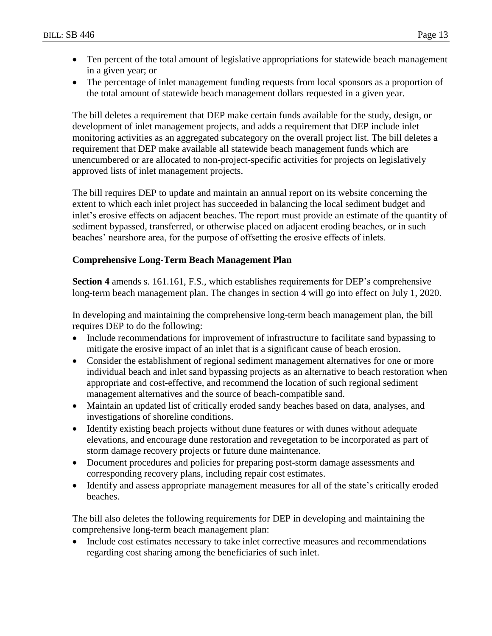- Ten percent of the total amount of legislative appropriations for statewide beach management in a given year; or
- The percentage of inlet management funding requests from local sponsors as a proportion of the total amount of statewide beach management dollars requested in a given year.

The bill deletes a requirement that DEP make certain funds available for the study, design, or development of inlet management projects, and adds a requirement that DEP include inlet monitoring activities as an aggregated subcategory on the overall project list. The bill deletes a requirement that DEP make available all statewide beach management funds which are unencumbered or are allocated to non-project-specific activities for projects on legislatively approved lists of inlet management projects.

The bill requires DEP to update and maintain an annual report on its website concerning the extent to which each inlet project has succeeded in balancing the local sediment budget and inlet's erosive effects on adjacent beaches. The report must provide an estimate of the quantity of sediment bypassed, transferred, or otherwise placed on adjacent eroding beaches, or in such beaches' nearshore area, for the purpose of offsetting the erosive effects of inlets.

### **Comprehensive Long-Term Beach Management Plan**

**Section 4** amends s. 161.161, F.S., which establishes requirements for DEP's comprehensive long-term beach management plan. The changes in section 4 will go into effect on July 1, 2020.

In developing and maintaining the comprehensive long-term beach management plan, the bill requires DEP to do the following:

- Include recommendations for improvement of infrastructure to facilitate sand bypassing to mitigate the erosive impact of an inlet that is a significant cause of beach erosion.
- Consider the establishment of regional sediment management alternatives for one or more individual beach and inlet sand bypassing projects as an alternative to beach restoration when appropriate and cost-effective, and recommend the location of such regional sediment management alternatives and the source of beach-compatible sand.
- Maintain an updated list of critically eroded sandy beaches based on data, analyses, and investigations of shoreline conditions.
- Identify existing beach projects without dune features or with dunes without adequate elevations, and encourage dune restoration and revegetation to be incorporated as part of storm damage recovery projects or future dune maintenance.
- Document procedures and policies for preparing post-storm damage assessments and corresponding recovery plans, including repair cost estimates.
- Identify and assess appropriate management measures for all of the state's critically eroded beaches.

The bill also deletes the following requirements for DEP in developing and maintaining the comprehensive long-term beach management plan:

• Include cost estimates necessary to take inlet corrective measures and recommendations regarding cost sharing among the beneficiaries of such inlet.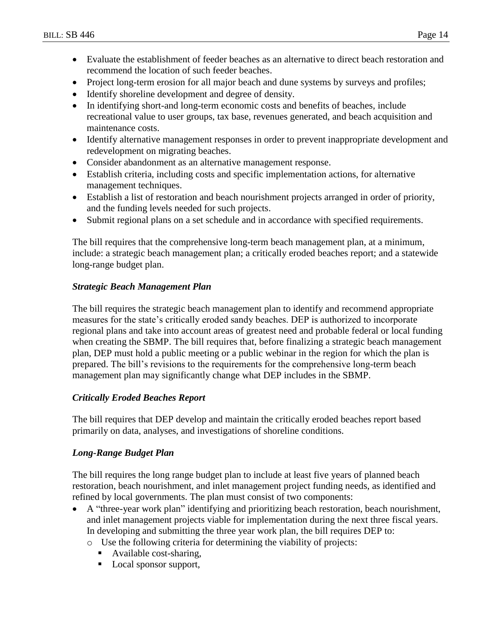- Evaluate the establishment of feeder beaches as an alternative to direct beach restoration and recommend the location of such feeder beaches.
- Project long-term erosion for all major beach and dune systems by surveys and profiles;
- Identify shoreline development and degree of density.
- In identifying short-and long-term economic costs and benefits of beaches, include recreational value to user groups, tax base, revenues generated, and beach acquisition and maintenance costs.
- Identify alternative management responses in order to prevent inappropriate development and redevelopment on migrating beaches.
- Consider abandonment as an alternative management response.
- Establish criteria, including costs and specific implementation actions, for alternative management techniques.
- Establish a list of restoration and beach nourishment projects arranged in order of priority, and the funding levels needed for such projects.
- Submit regional plans on a set schedule and in accordance with specified requirements.

The bill requires that the comprehensive long-term beach management plan, at a minimum, include: a strategic beach management plan; a critically eroded beaches report; and a statewide long-range budget plan.

### *Strategic Beach Management Plan*

The bill requires the strategic beach management plan to identify and recommend appropriate measures for the state's critically eroded sandy beaches. DEP is authorized to incorporate regional plans and take into account areas of greatest need and probable federal or local funding when creating the SBMP. The bill requires that, before finalizing a strategic beach management plan, DEP must hold a public meeting or a public webinar in the region for which the plan is prepared. The bill's revisions to the requirements for the comprehensive long-term beach management plan may significantly change what DEP includes in the SBMP.

### *Critically Eroded Beaches Report*

The bill requires that DEP develop and maintain the critically eroded beaches report based primarily on data, analyses, and investigations of shoreline conditions.

### *Long-Range Budget Plan*

The bill requires the long range budget plan to include at least five years of planned beach restoration, beach nourishment, and inlet management project funding needs, as identified and refined by local governments. The plan must consist of two components:

- A "three-year work plan" identifying and prioritizing beach restoration, beach nourishment, and inlet management projects viable for implementation during the next three fiscal years. In developing and submitting the three year work plan, the bill requires DEP to:
	- o Use the following criteria for determining the viability of projects:
		- Available cost-sharing,
		- Local sponsor support,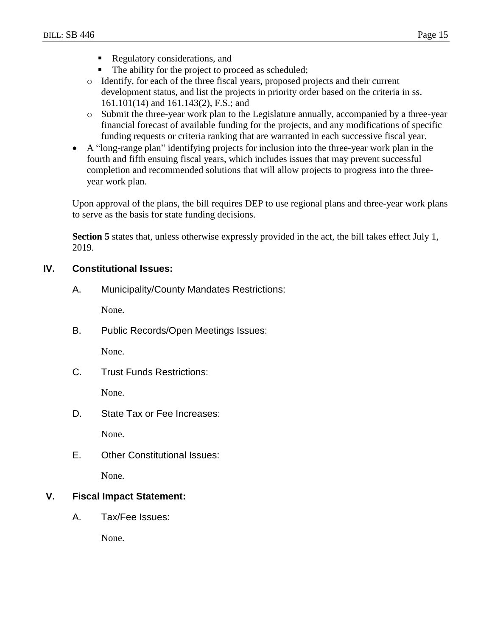- Regulatory considerations, and
- The ability for the project to proceed as scheduled;
- o Identify, for each of the three fiscal years, proposed projects and their current development status, and list the projects in priority order based on the criteria in ss. 161.101(14) and 161.143(2), F.S.; and
- o Submit the three-year work plan to the Legislature annually, accompanied by a three-year financial forecast of available funding for the projects, and any modifications of specific funding requests or criteria ranking that are warranted in each successive fiscal year.
- A "long-range plan" identifying projects for inclusion into the three-year work plan in the fourth and fifth ensuing fiscal years, which includes issues that may prevent successful completion and recommended solutions that will allow projects to progress into the threeyear work plan.

Upon approval of the plans, the bill requires DEP to use regional plans and three-year work plans to serve as the basis for state funding decisions.

**Section 5** states that, unless otherwise expressly provided in the act, the bill takes effect July 1, 2019.

### **IV. Constitutional Issues:**

A. Municipality/County Mandates Restrictions:

None.

B. Public Records/Open Meetings Issues:

None.

C. Trust Funds Restrictions:

None.

D. State Tax or Fee Increases:

None.

E. Other Constitutional Issues:

None.

## **V. Fiscal Impact Statement:**

A. Tax/Fee Issues:

None.